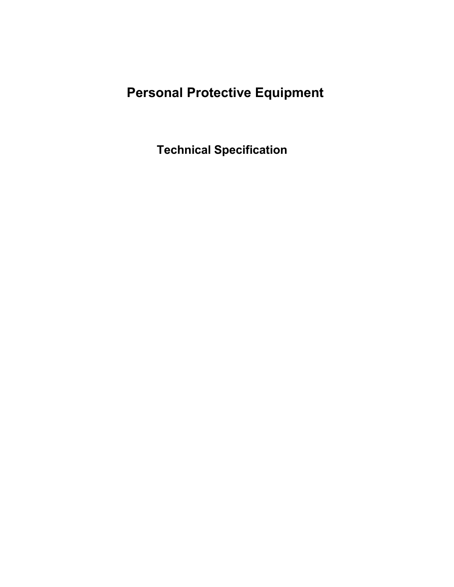# **Personal Protective Equipment**

**Technical Specification**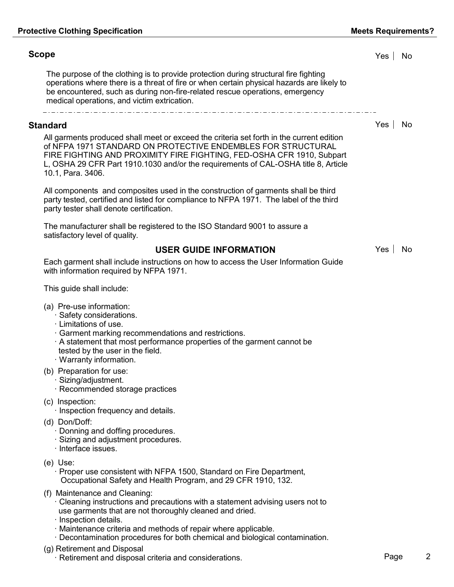# **Scope** Yes No

The purpose of the clothing is to provide protection during structural fire fighting operations where there is a threat of fire or when certain physical hazards are likely to be encountered, such as during non-fire-related rescue operations, emergency medical operations, and victim extrication.

#### **Standard** Yes No

All garments produced shall meet or exceed the criteria set forth in the current edition of NFPA 1971 STANDARD ON PROTECTIVE ENDEMBLES FOR STRUCTURAL FIRE FIGHTING AND PROXIMITY FIRE FIGHTING, FED-OSHA CFR 1910, Subpart L, OSHA 29 CFR Part 1910.1030 and/or the requirements of CAL-OSHA title 8, Article 10.1, Para. 3406.

All components and composites used in the construction of garments shall be third party tested, certified and listed for compliance to NFPA 1971. The label of the third party tester shall denote certification.

The manufacturer shall be registered to the ISO Standard 9001 to assure a satisfactory level of quality.

**USER GUIDE INFORMATION** Yes No

Each garment shall include instructions on how to access the User Information Guide with information required by NFPA 1971.

This guide shall include:

- (a) Pre-use information: Pre-use information:<br>· Safety considerations.<br>· Limitations of use
	- Pre-use information:<br>· Safety consideration<br>· Limitations of use.
	-
	- · Garment marking recommendations and restrictions.
	- · A statement that most performance properties of the garment cannot be tested by the user in the field.  $\cdot$  A statement that most p<br>tested by the user in the<br> $\cdot$  Warranty information.
	-
- (b) Preparation for use: varianty information<br>Preparation for use:<br>Sizing/adjustment.
	-
	- · Sizing/adjustment.<br>· Recommended storage practices
- (c) Inspection:
	- · Inspection frequency and details.
- (d) Don/Doff:
	- · Donning and doffing procedures.
	- Don/Doff:<br>· Donning and doffing procedures.<br>· Sizing and adjustment procedures. · Donning and doffil<br>· Sizing and adjustn<br>· Interface issues.
	-
- (e) Use:

· Proper use consistent with NFPA 1500, Standard on Fire Department, Occupational Safety and Health Program, and 29 CFR 1910, 132.

- (f) Maintenance and Cleaning:
	- · Cleaning instructions and precautions with a statement advising users not to use garments that are not thoroughly cleaned and dried. · Cleaning instruction<br>use garments that a<br>· Inspection details.
	-
	- · Maintenance criteria and methods of repair where applicable.
	- · Decontamination procedures for both chemical and biological contamination.
- (g) Retirement and Disposal
	- · Retirement and disposal criteria and considerations. The example of the construction of the Page 2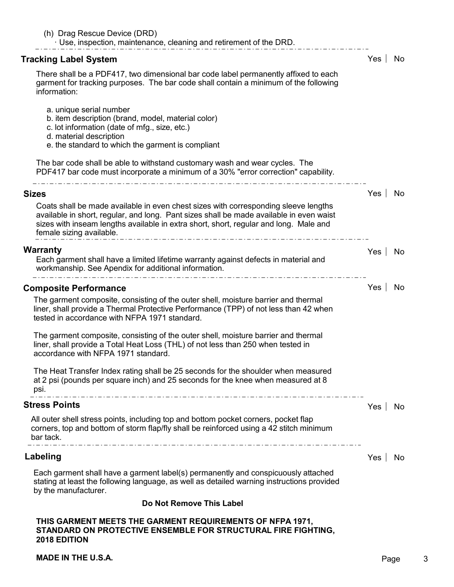| Tracking Label System                                                                                                                                                                                                                                                                               | Yes | No  |
|-----------------------------------------------------------------------------------------------------------------------------------------------------------------------------------------------------------------------------------------------------------------------------------------------------|-----|-----|
| There shall be a PDF417, two dimensional bar code label permanently affixed to each<br>garment for tracking purposes. The bar code shall contain a minimum of the following<br>information:                                                                                                         |     |     |
| a. unique serial number<br>b. item description (brand, model, material color)<br>c. lot information (date of mfg., size, etc.)<br>d. material description<br>e. the standard to which the garment is compliant                                                                                      |     |     |
| The bar code shall be able to withstand customary wash and wear cycles. The<br>PDF417 bar code must incorporate a minimum of a 30% "error correction" capability.                                                                                                                                   |     |     |
| <b>Sizes</b>                                                                                                                                                                                                                                                                                        | Yes | No  |
| Coats shall be made available in even chest sizes with corresponding sleeve lengths<br>available in short, regular, and long. Pant sizes shall be made available in even waist<br>sizes with inseam lengths available in extra short, short, regular and long. Male and<br>female sizing available. |     |     |
| <b>Warranty</b><br>Each garment shall have a limited lifetime warranty against defects in material and<br>workmanship. See Apendix for additional information.                                                                                                                                      | Yes | No  |
| <b>Composite Performance</b>                                                                                                                                                                                                                                                                        | Yes | No  |
| The garment composite, consisting of the outer shell, moisture barrier and thermal<br>liner, shall provide a Thermal Protective Performance (TPP) of not less than 42 when<br>tested in accordance with NFPA 1971 standard.                                                                         |     |     |
| The garment composite, consisting of the outer shell, moisture barrier and thermal<br>liner, shall provide a Total Heat Loss (THL) of not less than 250 when tested in<br>accordance with NFPA 1971 standard.                                                                                       |     |     |
| The Heat Transfer Index rating shall be 25 seconds for the shoulder when measured<br>at 2 psi (pounds per square inch) and 25 seconds for the knee when measured at 8<br>psi.                                                                                                                       |     |     |
| <b>Stress Points</b>                                                                                                                                                                                                                                                                                | Yes | No  |
| All outer shell stress points, including top and bottom pocket corners, pocket flap<br>corners, top and bottom of storm flap/fly shall be reinforced using a 42 stitch minimum<br>bar tack.                                                                                                         |     |     |
| Labeling                                                                                                                                                                                                                                                                                            | Yes | No. |
| Each garment shall have a garment label(s) permanently and conspicuously attached<br>stating at least the following language, as well as detailed warning instructions provided<br>by the manufacturer.                                                                                             |     |     |
| Do Not Remove This Label                                                                                                                                                                                                                                                                            |     |     |
| THIS GARMENT MEETS THE GARMENT REQUIREMENTS OF NFPA 1971,                                                                                                                                                                                                                                           |     |     |

**MADE IN THE U.S.A. Page 3** 

**2018 EDITION**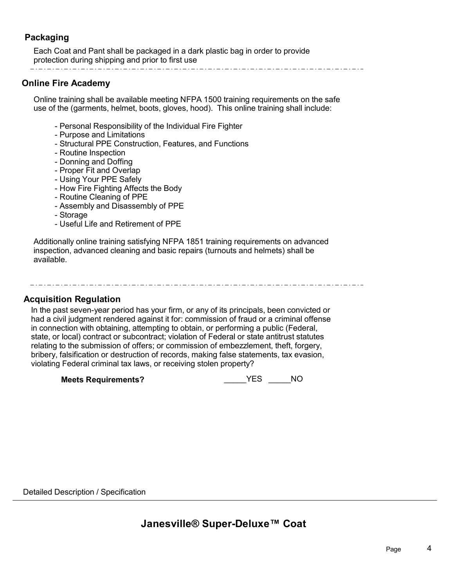# **Packaging**

Each Coat and Pant shall be packaged in a dark plastic bag in order to provide protection during shipping and prior to first use

### **Online Fire Academy**

Online training shall be available meeting NFPA 1500 training requirements on the safe use of the (garments, helmet, boots, gloves, hood). This online training shall include:

- Personal Responsibility of the Individual Fire Fighter
- Purpose and Limitations
- Structural PPE Construction, Features, and Functions
- Routine Inspection
- Donning and Doffing
- Proper Fit and Overlap
- Using Your PPE Safely
- How Fire Fighting Affects the Body
- Routine Cleaning of PPE
- Assembly and Disassembly of PPE
- Storage
- Useful Life and Retirement of PPE

Additionally online training satisfying NFPA 1851 training requirements on advanced inspection, advanced cleaning and basic repairs (turnouts and helmets) shall be available.

#### **Acquisition Regulation**

In the past seven-year period has your firm, or any of its principals, been convicted or had a civil judgment rendered against it for: commission of fraud or a criminal offense in connection with obtaining, attempting to obtain, or performing a public (Federal, state, or local) contract or subcontract; violation of Federal or state antitrust statutes relating to the submission of offers; or commission of embezzlement, theft, forgery, bribery, falsification or destruction of records, making false statements, tax evasion, violating Federal criminal tax laws, or receiving stolen property?

**Meets Requirements?** \_\_\_\_\_YES \_\_\_\_\_NO

Detailed Description / Specification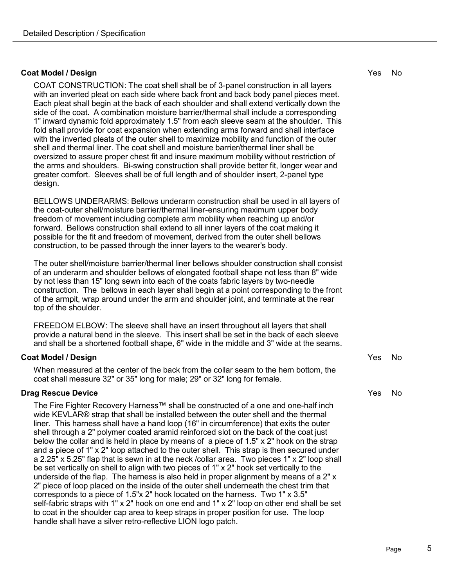#### **Coat Model / Design No Access 10 Access 10 Access 10 Access 10 Access 10 Access 10 Access 10 Access 10 Access 10 Access 10 Access 10 Access 10 Access 10 Access 10 Access 10 Access 10 Access 10 Access 10 Access 10 Access 1**

COAT CONSTRUCTION: The coat shell shall be of 3-panel construction in all layers with an inverted pleat on each side where back front and back body panel pieces meet. Each pleat shall begin at the back of each shoulder and shall extend vertically down the side of the coat. A combination moisture barrier/thermal shall include a corresponding 1" inward dynamic fold approximately 1.5" from each sleeve seam at the shoulder. This fold shall provide for coat expansion when extending arms forward and shall interface with the inverted pleats of the outer shell to maximize mobility and function of the outer shell and thermal liner. The coat shell and moisture barrier/thermal liner shall be oversized to assure proper chest fit and insure maximum mobility without restriction of the arms and shoulders. Bi-swing construction shall provide better fit, longer wear and greater comfort. Sleeves shall be of full length and of shoulder insert, 2-panel type design.

BELLOWS UNDERARMS: Bellows underarm construction shall be used in all layers of the coat-outer shell/moisture barrier/thermal liner-ensuring maximum upper body freedom of movement including complete arm mobility when reaching up and/or forward. Bellows construction shall extend to all inner layers of the coat making it possible for the fit and freedom of movement, derived from the outer shell bellows construction, to be passed through the inner layers to the wearer's body.

The outer shell/moisture barrier/thermal liner bellows shoulder construction shall consist of an underarm and shoulder bellows of elongated football shape not less than 8" wide by not less than 15" long sewn into each of the coats fabric layers by two-needle construction. The bellows in each layer shall begin at a point corresponding to the front of the armpit, wrap around under the arm and shoulder joint, and terminate at the rear top of the shoulder.

FREEDOM ELBOW: The sleeve shall have an insert throughout all layers that shall provide a natural bend in the sleeve. This insert shall be set in the back of each sleeve and shall be a shortened football shape, 6" wide in the middle and 3" wide at the seams.

#### **Coat Model / Design No Access 10 Access 10 Access 10 Access 10 Access 10 Access 10 Access 10 Access 10 Access 10 Access 10 Access 10 Access 10 Access 10 Access 10 Access 10 Access 10 Access 10 Access 10 Access 10 Access 1**

When measured at the center of the back from the collar seam to the hem bottom, the coat shall measure 32" or 35" long for male; 29" or 32" long for female.

#### **Drag Rescue Device No. 2016 Construction Construction Construction Construction Construction Properties and No. 2016**

The Fire Fighter Recovery Harness™ shall be constructed of a one and one-half inch wide KEVLAR® strap that shall be installed between the outer shell and the thermal liner. This harness shall have a hand loop (16" in circumference) that exits the outer shell through a 2" polymer coated aramid reinforced slot on the back of the coat just below the collar and is held in place by means of a piece of 1.5" x 2" hook on the strap and a piece of 1" x 2" loop attached to the outer shell. This strap is then secured under a 2.25" x 5.25" flap that is sewn in at the neck /collar area. Two pieces 1" x 2" loop shall be set vertically on shell to align with two pieces of 1" x 2" hook set vertically to the underside of the flap. The harness is also held in proper alignment by means of a 2" x 2" piece of loop placed on the inside of the outer shell underneath the chest trim that corresponds to a piece of 1.5"x 2" hook located on the harness. Two 1" x 3.5" self-fabric straps with 1" x 2" hook on one end and 1" x 2" loop on other end shall be set to coat in the shoulder cap area to keep straps in proper position for use. The loop handle shall have a silver retro-reflective LION logo patch.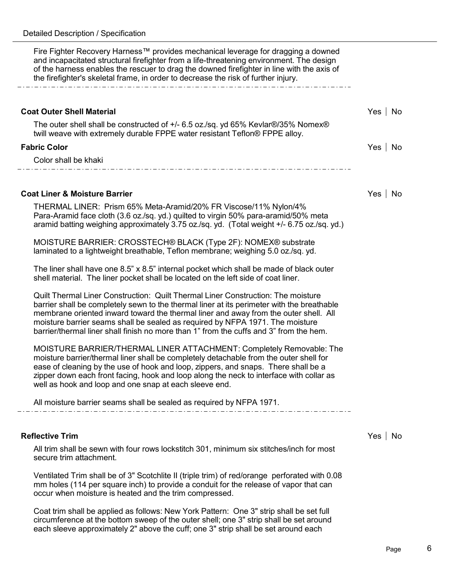Fire Fighter Recovery Harness™ provides mechanical leverage for dragging a downed and incapacitated structural firefighter from a life-threatening environment. The design of the harness enables the rescuer to drag the downed firefighter in line with the axis of the firefighter's skeletal frame, in order to decrease the risk of further injury.

# **Coat Outer Shell Material** No. 2008 12:00:00 No. 2012 12:00:00 No. 2012 12:00:00 No. 2013 12:00:00 No. 2014 12:00:00 No. 2014 12:00:00 No. 2014 12:00:00 No. 2014 12:00:00 No. 2014 12:00:00 No. 2014 12:00:00 No. 2014 12:00 The outer shell shall be constructed of +/- 6.5 oz./sq. yd 65% Kevlar®/35% Nomex® twill weave with extremely durable FPPE water resistant Teflon® FPPE alloy. **Fabric Color** Yes No Color shall be khaki

#### **Coat Liner & Moisture Barrier** No. 2008 1: 2009 1: 2009 1: 2009 1: 2009 1: 2009 1: 2009 1: 2009 1: 2009 1: 2009 1: 2009 1: 2009 1: 2009 1: 2009 1: 2009 1: 2009 1: 2009 1: 2009 1: 2009 1: 2009 1: 2009 1: 2009 1: 2009 1: 20

THERMAL LINER: Prism 65% Meta-Aramid/20% FR Viscose/11% Nylon/4% Para-Aramid face cloth (3.6 oz./sq. yd.) quilted to virgin 50% para-aramid/50% meta aramid batting weighing approximately 3.75 oz./sq. yd. (Total weight +/- 6.75 oz./sq. yd.)

MOISTURE BARRIER: CROSSTECH® BLACK (Type 2F): NOMEX® substrate laminated to a lightweight breathable, Teflon membrane; weighing 5.0 oz./sq. yd.

The liner shall have one 8.5" x 8.5" internal pocket which shall be made of black outer shell material. The liner pocket shall be located on the left side of coat liner.

Quilt Thermal Liner Construction: Quilt Thermal Liner Construction: The moisture barrier shall be completely sewn to the thermal liner at its perimeter with the breathable membrane oriented inward toward the thermal liner and away from the outer shell. All moisture barrier seams shall be sealed as required by NFPA 1971. The moisture barrier/thermal liner shall finish no more than 1" from the cuffs and 3" from the hem.

MOISTURE BARRIER/THERMAL LINER ATTACHMENT: Completely Removable: The moisture barrier/thermal liner shall be completely detachable from the outer shell for ease of cleaning by the use of hook and loop, zippers, and snaps. There shall be a zipper down each front facing, hook and loop along the neck to interface with collar as well as hook and loop and one snap at each sleeve end.

All moisture barrier seams shall be sealed as required by NFPA 1971.

#### **Reflective Trim** Yes No. 2006, No. 2016, No. 2017, No. 2018, No. 2018, No. 2018, No. 2018, No. 2019, No. 2019, No

All trim shall be sewn with four rows lockstitch 301, minimum six stitches/inch for most secure trim attachment.

Ventilated Trim shall be of 3" Scotchlite II (triple trim) of red/orange perforated with 0.08 mm holes (114 per square inch) to provide a conduit for the release of vapor that can occur when moisture is heated and the trim compressed.

Coat trim shall be applied as follows: New York Pattern: One 3" strip shall be set full circumference at the bottom sweep of the outer shell; one 3" strip shall be set around each sleeve approximately 2" above the cuff; one 3" strip shall be set around each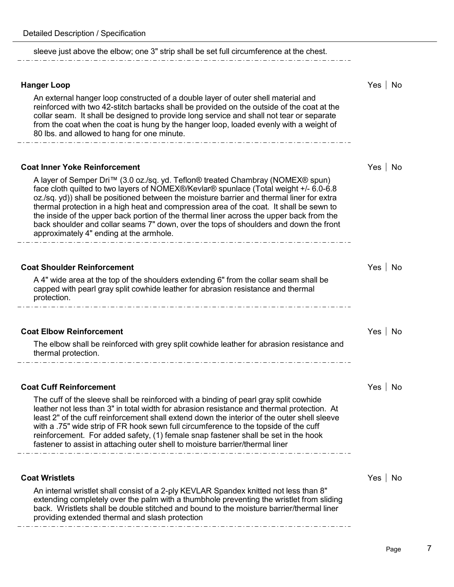| sleeve just above the elbow; one 3" strip shall be set full circumference at the chest.                                                                                                                                                                                                                                                                                                                                                                                                                                                                                                         |               |
|-------------------------------------------------------------------------------------------------------------------------------------------------------------------------------------------------------------------------------------------------------------------------------------------------------------------------------------------------------------------------------------------------------------------------------------------------------------------------------------------------------------------------------------------------------------------------------------------------|---------------|
| <b>Hanger Loop</b><br>An external hanger loop constructed of a double layer of outer shell material and                                                                                                                                                                                                                                                                                                                                                                                                                                                                                         | Yes   No      |
| reinforced with two 42-stitch bartacks shall be provided on the outside of the coat at the<br>collar seam. It shall be designed to provide long service and shall not tear or separate<br>from the coat when the coat is hung by the hanger loop, loaded evenly with a weight of<br>80 lbs. and allowed to hang for one minute.                                                                                                                                                                                                                                                                 |               |
| <b>Coat Inner Yoke Reinforcement</b>                                                                                                                                                                                                                                                                                                                                                                                                                                                                                                                                                            | Yes   No      |
| A layer of Semper Dri™ (3.0 oz./sq. yd. Teflon® treated Chambray (NOMEX® spun)<br>face cloth quilted to two layers of NOMEX®/Kevlar® spunlace (Total weight +/- 6.0-6.8<br>oz./sq. yd)) shall be positioned between the moisture barrier and thermal liner for extra<br>thermal protection in a high heat and compression area of the coat. It shall be sewn to<br>the inside of the upper back portion of the thermal liner across the upper back from the<br>back shoulder and collar seams 7" down, over the tops of shoulders and down the front<br>approximately 4" ending at the armhole. |               |
|                                                                                                                                                                                                                                                                                                                                                                                                                                                                                                                                                                                                 |               |
| <b>Coat Shoulder Reinforcement</b>                                                                                                                                                                                                                                                                                                                                                                                                                                                                                                                                                              | Yes   No      |
| A 4" wide area at the top of the shoulders extending 6" from the collar seam shall be<br>capped with pearl gray split cowhide leather for abrasion resistance and thermal<br>protection.                                                                                                                                                                                                                                                                                                                                                                                                        |               |
| <b>Coat Elbow Reinforcement</b>                                                                                                                                                                                                                                                                                                                                                                                                                                                                                                                                                                 | Yes   No      |
| The elbow shall be reinforced with grey split cowhide leather for abrasion resistance and<br>thermal protection.                                                                                                                                                                                                                                                                                                                                                                                                                                                                                |               |
|                                                                                                                                                                                                                                                                                                                                                                                                                                                                                                                                                                                                 |               |
| <b>Coat Cuff Reinforcement</b>                                                                                                                                                                                                                                                                                                                                                                                                                                                                                                                                                                  | No<br>Yes     |
| The cuff of the sleeve shall be reinforced with a binding of pearl gray split cowhide<br>leather not less than 3" in total width for abrasion resistance and thermal protection. At<br>least 2" of the cuff reinforcement shall extend down the interior of the outer shell sleeve<br>with a .75" wide strip of FR hook sewn full circumference to the topside of the cuff<br>reinforcement. For added safety, (1) female snap fastener shall be set in the hook<br>fastener to assist in attaching outer shell to moisture barrier/thermal liner                                               |               |
| <b>Coat Wristlets</b>                                                                                                                                                                                                                                                                                                                                                                                                                                                                                                                                                                           | $Yes \mid No$ |
| An internal wristlet shall consist of a 2-ply KEVLAR Spandex knitted not less than 8"                                                                                                                                                                                                                                                                                                                                                                                                                                                                                                           |               |
| extending completely over the palm with a thumbhole preventing the wristlet from sliding<br>back. Wristlets shall be double stitched and bound to the moisture barrier/thermal liner<br>providing extended thermal and slash protection                                                                                                                                                                                                                                                                                                                                                         |               |
|                                                                                                                                                                                                                                                                                                                                                                                                                                                                                                                                                                                                 |               |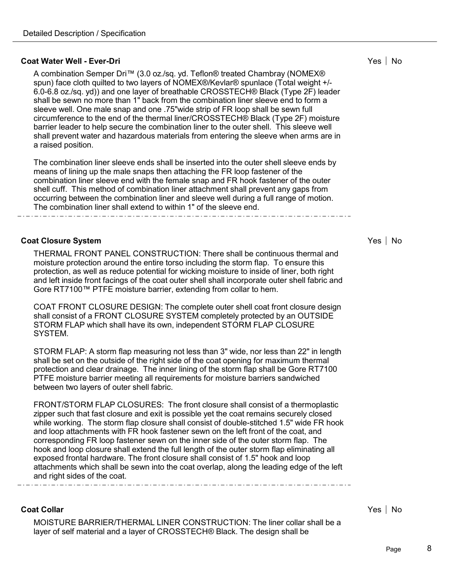#### **Coat Water Well - Ever-Dri No. 2018 19:30 19:30 19:30 19:30 19:30 19:30 19:30 19:30 19:30 19:30 19:30 19:30 19:30 19:30 19:30 19:30 19:30 19:30 19:30 19:30 19:30 19:30 19:30 19:30 19:30 19:30 19:30 19:30 19:30 19:30 19:**

A combination Semper Dri™ (3.0 oz./sq. yd. Teflon® treated Chambray (NOMEX® spun) face cloth quilted to two layers of NOMEX®/Kevlar® spunlace (Total weight +/- 6.0-6.8 oz./sq. yd)) and one layer of breathable CROSSTECH® Black (Type 2F) leader shall be sewn no more than 1" back from the combination liner sleeve end to form a sleeve well. One male snap and one .75"wide strip of FR loop shall be sewn full circumference to the end of the thermal liner/CROSSTECH® Black (Type 2F) moisture barrier leader to help secure the combination liner to the outer shell. This sleeve well shall prevent water and hazardous materials from entering the sleeve when arms are in a raised position.

The combination liner sleeve ends shall be inserted into the outer shell sleeve ends by means of lining up the male snaps then attaching the FR loop fastener of the combination liner sleeve end with the female snap and FR hook fastener of the outer shell cuff. This method of combination liner attachment shall prevent any gaps from occurring between the combination liner and sleeve well during a full range of motion. The combination liner shall extend to within 1" of the sleeve end.

#### **Coat Closure System** Yes No

THERMAL FRONT PANEL CONSTRUCTION: There shall be continuous thermal and moisture protection around the entire torso including the storm flap. To ensure this protection, as well as reduce potential for wicking moisture to inside of liner, both right and left inside front facings of the coat outer shell shall incorporate outer shell fabric and Gore RT7100™ PTFE moisture barrier, extending from collar to hem.

COAT FRONT CLOSURE DESIGN: The complete outer shell coat front closure design shall consist of a FRONT CLOSURE SYSTEM completely protected by an OUTSIDE STORM FLAP which shall have its own, independent STORM FLAP CLOSURE SYSTEM.

STORM FLAP: A storm flap measuring not less than 3" wide, nor less than 22" in length shall be set on the outside of the right side of the coat opening for maximum thermal protection and clear drainage. The inner lining of the storm flap shall be Gore RT7100 PTFE moisture barrier meeting all requirements for moisture barriers sandwiched between two layers of outer shell fabric.

FRONT/STORM FLAP CLOSURES: The front closure shall consist of a thermoplastic zipper such that fast closure and exit is possible yet the coat remains securely closed while working. The storm flap closure shall consist of double-stitched 1.5" wide FR hook and loop attachments with FR hook fastener sewn on the left front of the coat, and corresponding FR loop fastener sewn on the inner side of the outer storm flap. The hook and loop closure shall extend the full length of the outer storm flap eliminating all exposed frontal hardware. The front closure shall consist of 1.5" hook and loop attachments which shall be sewn into the coat overlap, along the leading edge of the left and right sides of the coat.

#### **Coat Collar** Yes No

MOISTURE BARRIER/THERMAL LINER CONSTRUCTION: The liner collar shall be a layer of self material and a layer of CROSSTECH® Black. The design shall be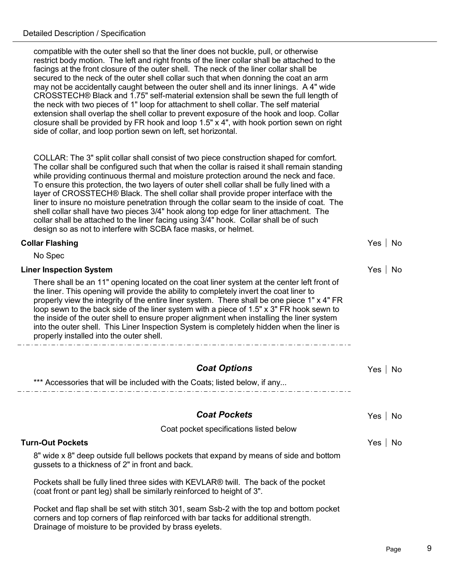compatible with the outer shell so that the liner does not buckle, pull, or otherwise restrict body motion. The left and right fronts of the liner collar shall be attached to the facings at the front closure of the outer shell. The neck of the liner collar shall be secured to the neck of the outer shell collar such that when donning the coat an arm may not be accidentally caught between the outer shell and its inner linings. A 4" wide CROSSTECH® Black and 1.75" self-material extension shall be sewn the full length of the neck with two pieces of 1" loop for attachment to shell collar. The self material extension shall overlap the shell collar to prevent exposure of the hook and loop. Collar closure shall be provided by FR hook and loop 1.5" x 4", with hook portion sewn on right side of collar, and loop portion sewn on left, set horizontal.

COLLAR: The 3" split collar shall consist of two piece construction shaped for comfort. The collar shall be configured such that when the collar is raised it shall remain standing while providing continuous thermal and moisture protection around the neck and face. To ensure this protection, the two layers of outer shell collar shall be fully lined with a layer of CROSSTECH® Black. The shell collar shall provide proper interface with the liner to insure no moisture penetration through the collar seam to the inside of coat. The shell collar shall have two pieces 3/4" hook along top edge for liner attachment. The collar shall be attached to the liner facing using 3/4" hook. Collar shall be of such design so as not to interfere with SCBA face masks, or helmet.

| <b>Collar Flashing</b>                                                                                                                                                                                                                                                                                                                                                                                                                                                                                                                                                                                                 | No<br>Yes   |
|------------------------------------------------------------------------------------------------------------------------------------------------------------------------------------------------------------------------------------------------------------------------------------------------------------------------------------------------------------------------------------------------------------------------------------------------------------------------------------------------------------------------------------------------------------------------------------------------------------------------|-------------|
| No Spec                                                                                                                                                                                                                                                                                                                                                                                                                                                                                                                                                                                                                |             |
| <b>Liner Inspection System</b>                                                                                                                                                                                                                                                                                                                                                                                                                                                                                                                                                                                         | Yes<br>No   |
| There shall be an 11" opening located on the coat liner system at the center left front of<br>the liner. This opening will provide the ability to completely invert the coat liner to<br>properly view the integrity of the entire liner system. There shall be one piece 1" x 4" FR<br>loop sewn to the back side of the liner system with a piece of 1.5" x 3" FR hook sewn to<br>the inside of the outer shell to ensure proper alignment when installing the liner system<br>into the outer shell. This Liner Inspection System is completely hidden when the liner is<br>properly installed into the outer shell. |             |
| <b>Coat Options</b>                                                                                                                                                                                                                                                                                                                                                                                                                                                                                                                                                                                                    | Yes<br>No   |
| *** Accessories that will be included with the Coats; listed below, if any                                                                                                                                                                                                                                                                                                                                                                                                                                                                                                                                             |             |
| <b>Coat Pockets</b>                                                                                                                                                                                                                                                                                                                                                                                                                                                                                                                                                                                                    | Yes  <br>No |
| Coat pocket specifications listed below                                                                                                                                                                                                                                                                                                                                                                                                                                                                                                                                                                                |             |
| <b>Turn-Out Pockets</b>                                                                                                                                                                                                                                                                                                                                                                                                                                                                                                                                                                                                | Yes<br>No   |
| 8" wide x 8" deep outside full bellows pockets that expand by means of side and bottom<br>gussets to a thickness of 2" in front and back.                                                                                                                                                                                                                                                                                                                                                                                                                                                                              |             |
| Pockets shall be fully lined three sides with KEVLAR® twill. The back of the pocket<br>(coat front or pant leg) shall be similarly reinforced to height of 3".                                                                                                                                                                                                                                                                                                                                                                                                                                                         |             |
| Pocket and flap shall be set with stitch 301, seam Ssb-2 with the top and bottom pocket<br>corners and top corners of flap reinforced with bar tacks for additional strength.                                                                                                                                                                                                                                                                                                                                                                                                                                          |             |

Drainage of moisture to be provided by brass eyelets.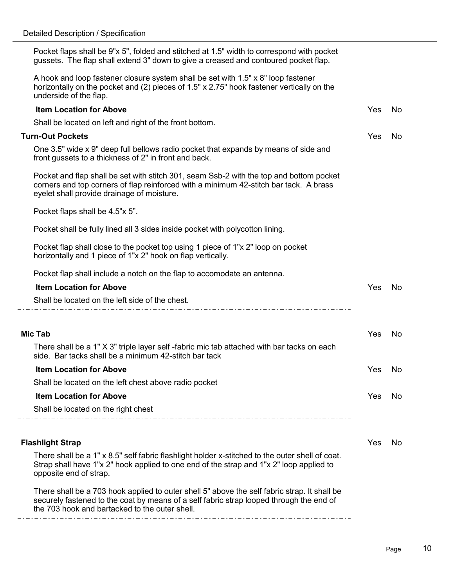$\overline{\phantom{a}}$ 

| Pocket flaps shall be 9"x 5", folded and stitched at 1.5" width to correspond with pocket<br>gussets. The flap shall extend 3" down to give a creased and contoured pocket flap.                                                          |               |
|-------------------------------------------------------------------------------------------------------------------------------------------------------------------------------------------------------------------------------------------|---------------|
| A hook and loop fastener closure system shall be set with 1.5" x 8" loop fastener<br>horizontally on the pocket and (2) pieces of 1.5" x 2.75" hook fastener vertically on the<br>underside of the flap.                                  |               |
| <b>Item Location for Above</b>                                                                                                                                                                                                            | Yes   No      |
| Shall be located on left and right of the front bottom.                                                                                                                                                                                   |               |
| <b>Turn-Out Pockets</b>                                                                                                                                                                                                                   | Yes   No      |
| One 3.5" wide x 9" deep full bellows radio pocket that expands by means of side and<br>front gussets to a thickness of 2" in front and back.                                                                                              |               |
| Pocket and flap shall be set with stitch 301, seam Ssb-2 with the top and bottom pocket<br>corners and top corners of flap reinforced with a minimum 42-stitch bar tack. A brass<br>eyelet shall provide drainage of moisture.            |               |
| Pocket flaps shall be 4.5"x 5".                                                                                                                                                                                                           |               |
| Pocket shall be fully lined all 3 sides inside pocket with polycotton lining.                                                                                                                                                             |               |
| Pocket flap shall close to the pocket top using 1 piece of 1"x 2" loop on pocket<br>horizontally and 1 piece of 1"x 2" hook on flap vertically.                                                                                           |               |
| Pocket flap shall include a notch on the flap to accomodate an antenna.                                                                                                                                                                   |               |
| <b>Item Location for Above</b>                                                                                                                                                                                                            | Yes   No      |
| Shall be located on the left side of the chest.                                                                                                                                                                                           |               |
|                                                                                                                                                                                                                                           |               |
| Mic Tab                                                                                                                                                                                                                                   | No<br>Yes     |
| There shall be a 1" X 3" triple layer self -fabric mic tab attached with bar tacks on each<br>side. Bar tacks shall be a minimum 42-stitch bar tack                                                                                       |               |
| <b>Item Location for Above</b>                                                                                                                                                                                                            | Yes   No      |
| Shall be located on the left chest above radio pocket                                                                                                                                                                                     |               |
| <b>Item Location for Above</b>                                                                                                                                                                                                            | Yes  <br>  No |
| Shall be located on the right chest                                                                                                                                                                                                       |               |
|                                                                                                                                                                                                                                           |               |
| <b>Flashlight Strap</b>                                                                                                                                                                                                                   | Yes   No      |
| There shall be a 1" x 8.5" self fabric flashlight holder x-stitched to the outer shell of coat.<br>Strap shall have 1"x 2" hook applied to one end of the strap and 1"x 2" loop applied to<br>opposite end of strap.                      |               |
| There shall be a 703 hook applied to outer shell 5" above the self fabric strap. It shall be<br>securely fastened to the coat by means of a self fabric strap looped through the end of<br>the 703 hook and bartacked to the outer shell. |               |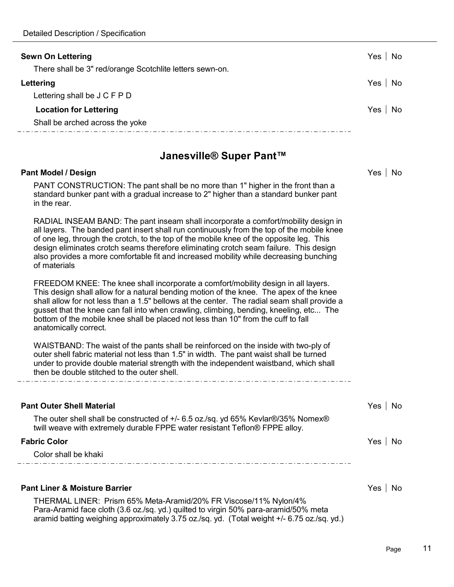in the rear.

| <b>Sewn On Lettering</b><br>There shall be 3" red/orange Scotchlite letters sewn-on. | Yes<br>No |
|--------------------------------------------------------------------------------------|-----------|
| Lettering                                                                            | Yes<br>No |
| Lettering shall be J C F P D                                                         |           |
| <b>Location for Lettering</b>                                                        | Yes<br>No |
| Shall be arched across the yoke                                                      |           |
| Janesville® Super Pant™                                                              |           |
| <b>Pant Model / Design</b>                                                           | Yes<br>No |
| PANT CONSTRUCTION: The pant shall be no more than 1" higher in the front than a      |           |

RADIAL INSEAM BAND: The pant inseam shall incorporate a comfort/mobility design in all layers. The banded pant insert shall run continuously from the top of the mobile knee of one leg, through the crotch, to the top of the mobile knee of the opposite leg. This design eliminates crotch seams therefore eliminating crotch seam failure. This design also provides a more comfortable fit and increased mobility while decreasing bunching of materials

standard bunker pant with a gradual increase to 2" higher than a standard bunker pant

FREEDOM KNEE: The knee shall incorporate a comfort/mobility design in all layers. This design shall allow for a natural bending motion of the knee. The apex of the knee shall allow for not less than a 1.5" bellows at the center. The radial seam shall provide a gusset that the knee can fall into when crawling, climbing, bending, kneeling, etc... The bottom of the mobile knee shall be placed not less than 10" from the cuff to fall anatomically correct.

WAISTBAND: The waist of the pants shall be reinforced on the inside with two-ply of outer shell fabric material not less than 1.5" in width. The pant waist shall be turned under to provide double material strength with the independent waistband, which shall then be double stitched to the outer shell.

| <b>Pant Outer Shell Material</b>                                                                                                                                 | Yes | No |
|------------------------------------------------------------------------------------------------------------------------------------------------------------------|-----|----|
| The outer shell shall be constructed of +/- 6.5 oz./sq. yd 65% Kevlar®/35% Nomex®<br>twill weave with extremely durable FPPE water resistant Teflon® FPPE alloy. |     |    |
| <b>Fabric Color</b>                                                                                                                                              | Yes | No |
| Color shall be khaki                                                                                                                                             |     |    |
|                                                                                                                                                                  |     |    |
| <b>Pant Liner &amp; Moisture Barrier</b>                                                                                                                         | Yes | No |
| THERMAL LINER: Prism 65% Meta-Aramid/20% FR Viscose/11% Nylon/4%                                                                                                 |     |    |

THERMAL LINER: Prism 65% Meta-Aramid/20% FR Viscose/11% Nylon/4% Para-Aramid face cloth (3.6 oz./sq. yd.) quilted to virgin 50% para-aramid/50% meta aramid batting weighing approximately 3.75 oz./sq. yd. (Total weight +/- 6.75 oz./sq. yd.)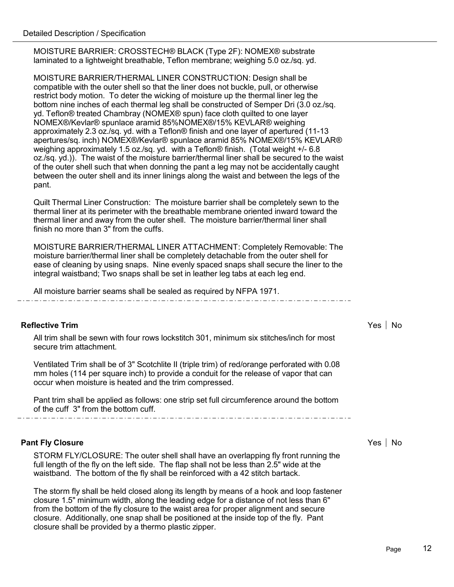MOISTURE BARRIER: CROSSTECH® BLACK (Type 2F): NOMEX® substrate laminated to a lightweight breathable, Teflon membrane; weighing 5.0 oz./sq. yd.

MOISTURE BARRIER/THERMAL LINER CONSTRUCTION: Design shall be compatible with the outer shell so that the liner does not buckle, pull, or otherwise restrict body motion. To deter the wicking of moisture up the thermal liner leg the bottom nine inches of each thermal leg shall be constructed of Semper Dri (3.0 oz./sq. yd. Teflon® treated Chambray (NOMEX® spun) face cloth quilted to one layer NOMEX®/Kevlar® spunlace aramid 85%NOMEX®/15% KEVLAR® weighing approximately 2.3 oz./sq. yd. with a Teflon® finish and one layer of apertured (11-13 apertures/sq. inch) NOMEX®/Kevlar® spunlace aramid 85% NOMEX®/15% KEVLAR® weighing approximately 1.5 oz./sq. yd. with a Teflon® finish. (Total weight +/- 6.8 oz./sq. yd.)). The waist of the moisture barrier/thermal liner shall be secured to the waist of the outer shell such that when donning the pant a leg may not be accidentally caught between the outer shell and its inner linings along the waist and between the legs of the pant.

Quilt Thermal Liner Construction: The moisture barrier shall be completely sewn to the thermal liner at its perimeter with the breathable membrane oriented inward toward the thermal liner and away from the outer shell. The moisture barrier/thermal liner shall finish no more than 3" from the cuffs.

MOISTURE BARRIER/THERMAL LINER ATTACHMENT: Completely Removable: The moisture barrier/thermal liner shall be completely detachable from the outer shell for ease of cleaning by using snaps. Nine evenly spaced snaps shall secure the liner to the integral waistband; Two snaps shall be set in leather leg tabs at each leg end.

All moisture barrier seams shall be sealed as required by NFPA 1971.

#### **Reflective Trim** Yes No. 2006, No. 2007. The set of the set of the set of the set of the set of the set of the set of the set of the set of the set of the set of the set of the set of the set of the set of the set of the

All trim shall be sewn with four rows lockstitch 301, minimum six stitches/inch for most secure trim attachment.

Ventilated Trim shall be of 3" Scotchlite II (triple trim) of red/orange perforated with 0.08 mm holes (114 per square inch) to provide a conduit for the release of vapor that can occur when moisture is heated and the trim compressed.

Pant trim shall be applied as follows: one strip set full circumference around the bottom of the cuff 3" from the bottom cuff.

#### **Pant Fly Closure** Yes No. 2012 **Yes No. 2012 12:30 West No. 2013 12:30 West No. 2013 12:30 West No. 2013 12:30 West No. 2013 12:30 West No. 2013 12:30 West No. 2014 12:30 West No. 2014 12:30 West No. 2014 12:30 West No. 2**

STORM FLY/CLOSURE: The outer shell shall have an overlapping fly front running the full length of the fly on the left side. The flap shall not be less than 2.5" wide at the waistband. The bottom of the fly shall be reinforced with a 42 stitch bartack.

The storm fly shall be held closed along its length by means of a hook and loop fastener closure 1.5" minimum width, along the leading edge for a distance of not less than 6" from the bottom of the fly closure to the waist area for proper alignment and secure closure. Additionally, one snap shall be positioned at the inside top of the fly. Pant closure shall be provided by a thermo plastic zipper.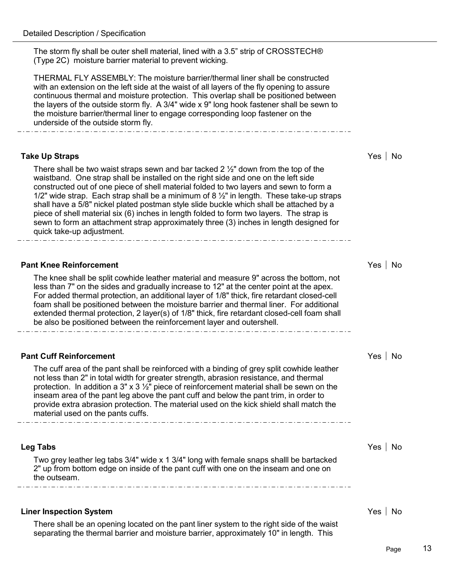The storm fly shall be outer shell material, lined with a 3.5" strip of CROSSTECH® (Type 2C) moisture barrier material to prevent wicking.

THERMAL FLY ASSEMBLY: The moisture barrier/thermal liner shall be constructed with an extension on the left side at the waist of all layers of the fly opening to assure continuous thermal and moisture protection. This overlap shall be positioned between the layers of the outside storm fly. A 3/4" wide x 9" long hook fastener shall be sewn to the moisture barrier/thermal liner to engage corresponding loop fastener on the underside of the outside storm fly.

#### **Take Up Straps** Yes No

There shall be two waist straps sewn and bar tacked 2  $\frac{1}{2}$ " down from the top of the waistband. One strap shall be installed on the right side and one on the left side constructed out of one piece of shell material folded to two layers and sewn to form a 1/2" wide strap. Each strap shall be a minimum of 8  $\frac{1}{2}$ " in length. These take-up straps shall have a 5/8" nickel plated postman style slide buckle which shall be attached by a piece of shell material six (6) inches in length folded to form two layers. The strap is sewn to form an attachment strap approximately three (3) inches in length designed for quick take-up adjustment. 

#### **Pant Knee Reinforcement** And All and All and All and All and All and All and All and All and All and All and All and A

The knee shall be split cowhide leather material and measure 9" across the bottom, not less than 7" on the sides and gradually increase to 12" at the center point at the apex. For added thermal protection, an additional layer of 1/8" thick, fire retardant closed-cell foam shall be positioned between the moisture barrier and thermal liner. For additional extended thermal protection, 2 layer(s) of 1/8" thick, fire retardant closed-cell foam shall be also be positioned between the reinforcement layer and outershell.

#### **Pant Cuff Reinforcement** All the Second Second Second Second Second Second Second Second Second Second Second Second Second Second Second Second Second Second Second Second Second Second Second Second Second Second Second

The cuff area of the pant shall be reinforced with a binding of grey split cowhide leather not less than 2" in total width for greater strength, abrasion resistance, and thermal protection. In addition a 3" x 3  $\frac{1}{2}$ " piece of reinforcement material shall be sewn on the inseam area of the pant leg above the pant cuff and below the pant trim, in order to provide extra abrasion protection. The material used on the kick shield shall match the material used on the pants cuffs.

# **Leg Tabs** Yes No Two grey leather leg tabs 3/4" wide x 1 3/4" long with female snaps shalll be bartacked 2" up from bottom edge on inside of the pant cuff with one on the inseam and one on the outseam.

#### **Liner Inspection System**  $\blacksquare$

There shall be an opening located on the pant liner system to the right side of the waist separating the thermal barrier and moisture barrier, approximately 10" in length. This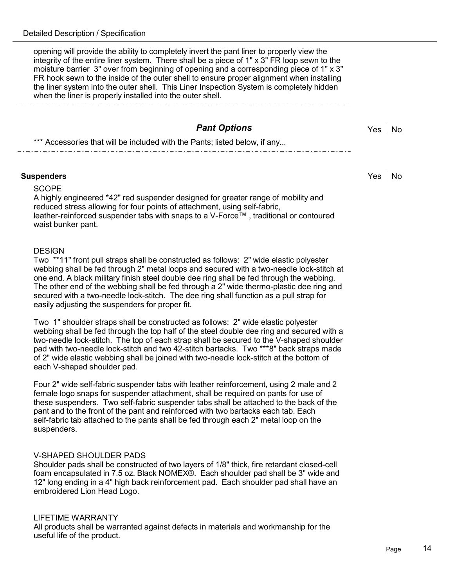opening will provide the ability to completely invert the pant liner to properly view the integrity of the entire liner system. There shall be a piece of 1" x 3" FR loop sewn to the moisture barrier 3" over from beginning of opening and a corresponding piece of 1" x 3" FR hook sewn to the inside of the outer shell to ensure proper alignment when installing the liner system into the outer shell. This Liner Inspection System is completely hidden when the liner is properly installed into the outer shell.

# **Pant Options** Yes No

\*\*\* Accessories that will be included with the Pants; listed below, if any...

#### **Suspenders** Yes No

#### **SCOPE**

A highly engineered \*42" red suspender designed for greater range of mobility and reduced stress allowing for four points of attachment, using self-fabric, leather-reinforced suspender tabs with snaps to a V-Force™ , traditional or contoured waist bunker pant.

#### **DESIGN**

Two \*\*11" front pull straps shall be constructed as follows: 2" wide elastic polyester webbing shall be fed through 2" metal loops and secured with a two-needle lock-stitch at one end. A black military finish steel double dee ring shall be fed through the webbing. The other end of the webbing shall be fed through a 2" wide thermo-plastic dee ring and secured with a two-needle lock-stitch. The dee ring shall function as a pull strap for easily adjusting the suspenders for proper fit.

Two 1" shoulder straps shall be constructed as follows: 2" wide elastic polyester webbing shall be fed through the top half of the steel double dee ring and secured with a two-needle lock-stitch. The top of each strap shall be secured to the V-shaped shoulder pad with two-needle lock-stitch and two 42-stitch bartacks. Two \*\*\*8" back straps made of 2" wide elastic webbing shall be joined with two-needle lock-stitch at the bottom of each V-shaped shoulder pad.

Four 2" wide self-fabric suspender tabs with leather reinforcement, using 2 male and 2 female logo snaps for suspender attachment, shall be required on pants for use of these suspenders. Two self-fabric suspender tabs shall be attached to the back of the pant and to the front of the pant and reinforced with two bartacks each tab. Each self-fabric tab attached to the pants shall be fed through each 2" metal loop on the suspenders.

#### V-SHAPED SHOULDER PADS

Shoulder pads shall be constructed of two layers of 1/8" thick, fire retardant closed-cell foam encapsulated in 7.5 oz. Black NOMEX®. Each shoulder pad shall be 3" wide and 12" long ending in a 4" high back reinforcement pad. Each shoulder pad shall have an embroidered Lion Head Logo.

#### LIFETIME WARRANTY

All products shall be warranted against defects in materials and workmanship for the useful life of the product.